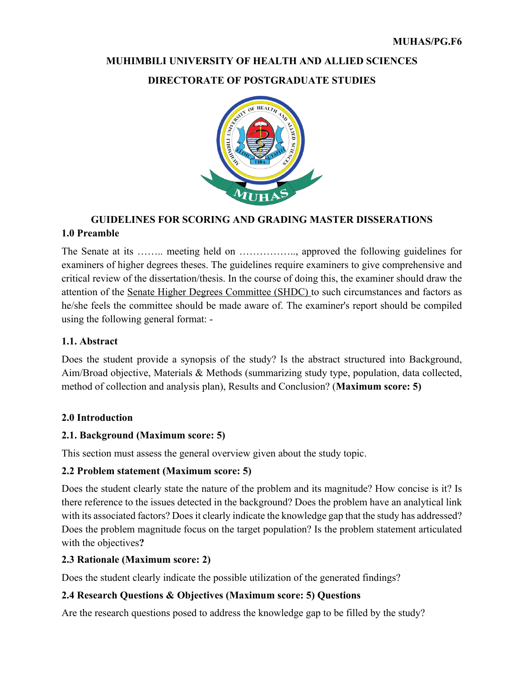# **MUHIMBILI UNIVERSITY OF HEALTH AND ALLIED SCIENCES**

#### **DIRECTORATE OF POSTGRADUATE STUDIES**



## **GUIDELINES FOR SCORING AND GRADING MASTER DISSERATIONS 1.0 Preamble**

The Senate at its …….. meeting held on …………….., approved the following guidelines for examiners of higher degrees theses. The guidelines require examiners to give comprehensive and critical review of the dissertation/thesis. In the course of doing this, the examiner should draw the attention of the Senate Higher Degrees Committee (SHDC) to such circumstances and factors as he/she feels the committee should be made aware of. The examiner's report should be compiled using the following general format: -

#### **1.1. Abstract**

Does the student provide a synopsis of the study? Is the abstract structured into Background, Aim/Broad objective, Materials & Methods (summarizing study type, population, data collected, method of collection and analysis plan), Results and Conclusion? (**Maximum score: 5)**

#### **2.0 Introduction**

#### **2.1. Background (Maximum score: 5)**

This section must assess the general overview given about the study topic.

#### **2.2 Problem statement (Maximum score: 5)**

Does the student clearly state the nature of the problem and its magnitude? How concise is it? Is there reference to the issues detected in the background? Does the problem have an analytical link with its associated factors? Does it clearly indicate the knowledge gap that the study has addressed? Does the problem magnitude focus on the target population? Is the problem statement articulated with the objectives**?**

#### **2.3 Rationale (Maximum score: 2)**

Does the student clearly indicate the possible utilization of the generated findings?

#### **2.4 Research Questions & Objectives (Maximum score: 5) Questions**

Are the research questions posed to address the knowledge gap to be filled by the study?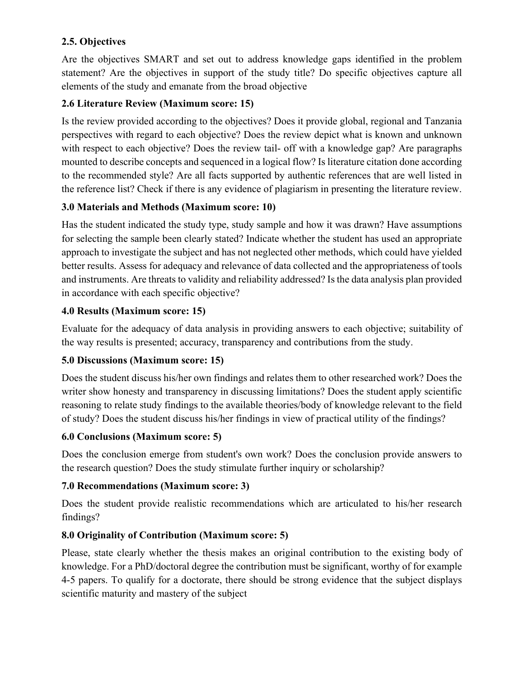## **2.5. Objectives**

Are the objectives SMART and set out to address knowledge gaps identified in the problem statement? Are the objectives in support of the study title? Do specific objectives capture all elements of the study and emanate from the broad objective

## **2.6 Literature Review (Maximum score: 15)**

Is the review provided according to the objectives? Does it provide global, regional and Tanzania perspectives with regard to each objective? Does the review depict what is known and unknown with respect to each objective? Does the review tail- off with a knowledge gap? Are paragraphs mounted to describe concepts and sequenced in a logical flow? Is literature citation done according to the recommended style? Are all facts supported by authentic references that are well listed in the reference list? Check if there is any evidence of plagiarism in presenting the literature review.

## **3.0 Materials and Methods (Maximum score: 10)**

Has the student indicated the study type, study sample and how it was drawn? Have assumptions for selecting the sample been clearly stated? Indicate whether the student has used an appropriate approach to investigate the subject and has not neglected other methods, which could have yielded better results. Assess for adequacy and relevance of data collected and the appropriateness of tools and instruments. Are threats to validity and reliability addressed? Is the data analysis plan provided in accordance with each specific objective?

## **4.0 Results (Maximum score: 15)**

Evaluate for the adequacy of data analysis in providing answers to each objective; suitability of the way results is presented; accuracy, transparency and contributions from the study.

## **5.0 Discussions (Maximum score: 15)**

Does the student discuss his/her own findings and relates them to other researched work? Does the writer show honesty and transparency in discussing limitations? Does the student apply scientific reasoning to relate study findings to the available theories/body of knowledge relevant to the field of study? Does the student discuss his/her findings in view of practical utility of the findings?

## **6.0 Conclusions (Maximum score: 5)**

Does the conclusion emerge from student's own work? Does the conclusion provide answers to the research question? Does the study stimulate further inquiry or scholarship?

## **7.0 Recommendations (Maximum score: 3)**

Does the student provide realistic recommendations which are articulated to his/her research findings?

## **8.0 Originality of Contribution (Maximum score: 5)**

Please, state clearly whether the thesis makes an original contribution to the existing body of knowledge. For a PhD/doctoral degree the contribution must be significant, worthy of for example 4-5 papers. To qualify for a doctorate, there should be strong evidence that the subject displays scientific maturity and mastery of the subject